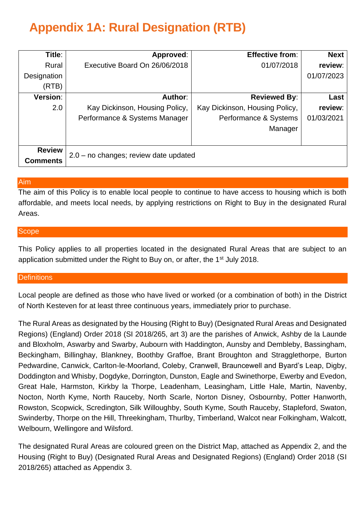# **Appendix 1A: Rural Designation (RTB)**

| Title:          | Approved:                             | <b>Effective from:</b>         | <b>Next</b> |
|-----------------|---------------------------------------|--------------------------------|-------------|
| Rural           | Executive Board On 26/06/2018         | 01/07/2018                     | review:     |
| Designation     |                                       |                                | 01/07/2023  |
| (RTB)           |                                       |                                |             |
| <b>Version:</b> | Author:                               | <b>Reviewed By:</b>            | Last        |
| 2.0             | Kay Dickinson, Housing Policy,        | Kay Dickinson, Housing Policy, | review:     |
|                 | Performance & Systems Manager         | Performance & Systems          | 01/03/2021  |
|                 |                                       | Manager                        |             |
|                 |                                       |                                |             |
| <b>Review</b>   | 2.0 - no changes; review date updated |                                |             |
| <b>Comments</b> |                                       |                                |             |

# Aim

The aim of this Policy is to enable local people to continue to have access to housing which is both affordable, and meets local needs, by applying restrictions on Right to Buy in the designated Rural Areas.

# Scope

This Policy applies to all properties located in the designated Rural Areas that are subject to an application submitted under the Right to Buy on, or after, the 1<sup>st</sup> July 2018.

# **Definitions**

Local people are defined as those who have lived or worked (or a combination of both) in the District of North Kesteven for at least three continuous years, immediately prior to purchase.

The Rural Areas as designated by the Housing (Right to Buy) (Designated Rural Areas and Designated Regions) (England) Order 2018 (SI 2018/265, art 3) are the parishes of Anwick, Ashby de la Launde and Bloxholm, Aswarby and Swarby, Aubourn with Haddington, Aunsby and Dembleby, Bassingham, Beckingham, Billinghay, Blankney, Boothby Graffoe, Brant Broughton and Stragglethorpe, Burton Pedwardine, Canwick, Carlton-le-Moorland, Coleby, Cranwell, Brauncewell and Byard's Leap, Digby, Doddington and Whisby, Dogdyke, Dorrington, Dunston, Eagle and Swinethorpe, Ewerby and Evedon, Great Hale, Harmston, Kirkby la Thorpe, Leadenham, Leasingham, Little Hale, Martin, Navenby, Nocton, North Kyme, North Rauceby, North Scarle, Norton Disney, Osbournby, Potter Hanworth, Rowston, Scopwick, Scredington, Silk Willoughby, South Kyme, South Rauceby, Stapleford, Swaton, Swinderby, Thorpe on the Hill, Threekingham, Thurlby, Timberland, Walcot near Folkingham, Walcott, Welbourn, Wellingore and Wilsford.

The designated Rural Areas are coloured green on the District Map, attached as Appendix 2, and the Housing (Right to Buy) (Designated Rural Areas and Designated Regions) (England) Order 2018 (SI 2018/265) attached as Appendix 3.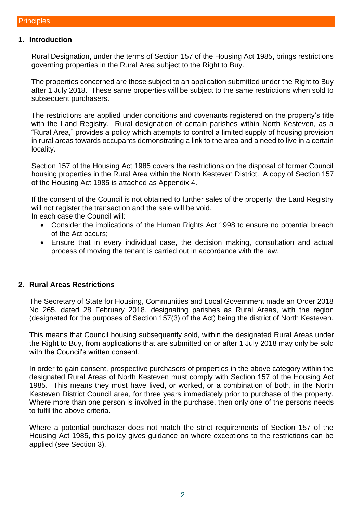#### **1. Introduction**

Rural Designation, under the terms of Section 157 of the Housing Act 1985, brings restrictions governing properties in the Rural Area subject to the Right to Buy.

The properties concerned are those subject to an application submitted under the Right to Buy after 1 July 2018. These same properties will be subject to the same restrictions when sold to subsequent purchasers.

The restrictions are applied under conditions and covenants registered on the property's title with the Land Registry. Rural designation of certain parishes within North Kesteven, as a "Rural Area," provides a policy which attempts to control a limited supply of housing provision in rural areas towards occupants demonstrating a link to the area and a need to live in a certain locality.

Section 157 of the Housing Act 1985 covers the restrictions on the disposal of former Council housing properties in the Rural Area within the North Kesteven District. A copy of Section 157 of the Housing Act 1985 is attached as Appendix 4.

If the consent of the Council is not obtained to further sales of the property, the Land Registry will not register the transaction and the sale will be void.

In each case the Council will:

- Consider the implications of the Human Rights Act 1998 to ensure no potential breach of the Act occurs;
- Ensure that in every individual case, the decision making, consultation and actual process of moving the tenant is carried out in accordance with the law.

#### **2. Rural Areas Restrictions**

The Secretary of State for Housing, Communities and Local Government made an Order 2018 No 265, dated 28 February 2018, designating parishes as Rural Areas, with the region (designated for the purposes of Section 157(3) of the Act) being the district of North Kesteven.

This means that Council housing subsequently sold, within the designated Rural Areas under the Right to Buy, from applications that are submitted on or after 1 July 2018 may only be sold with the Council's written consent.

In order to gain consent, prospective purchasers of properties in the above category within the designated Rural Areas of North Kesteven must comply with Section 157 of the Housing Act 1985. This means they must have lived, or worked, or a combination of both, in the North Kesteven District Council area, for three years immediately prior to purchase of the property. Where more than one person is involved in the purchase, then only one of the persons needs to fulfil the above criteria.

Where a potential purchaser does not match the strict requirements of Section 157 of the Housing Act 1985, this policy gives guidance on where exceptions to the restrictions can be applied (see Section 3).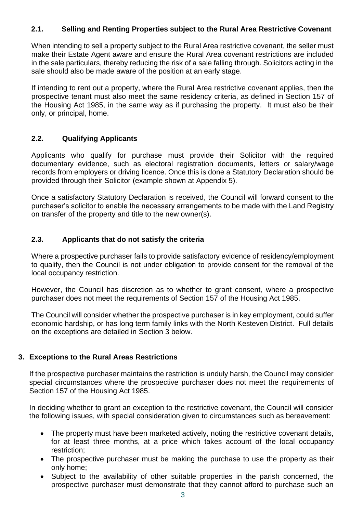# **2.1. Selling and Renting Properties subject to the Rural Area Restrictive Covenant**

When intending to sell a property subject to the Rural Area restrictive covenant, the seller must make their Estate Agent aware and ensure the Rural Area covenant restrictions are included in the sale particulars, thereby reducing the risk of a sale falling through. Solicitors acting in the sale should also be made aware of the position at an early stage.

If intending to rent out a property, where the Rural Area restrictive covenant applies, then the prospective tenant must also meet the same residency criteria, as defined in Section 157 of the Housing Act 1985, in the same way as if purchasing the property. It must also be their only, or principal, home.

### **2.2. Qualifying Applicants**

Applicants who qualify for purchase must provide their Solicitor with the required documentary evidence, such as electoral registration documents, letters or salary/wage records from employers or driving licence. Once this is done a Statutory Declaration should be provided through their Solicitor (example shown at Appendix 5).

Once a satisfactory Statutory Declaration is received, the Council will forward consent to the purchaser's solicitor to enable the necessary arrangements to be made with the Land Registry on transfer of the property and title to the new owner(s).

### **2.3. Applicants that do not satisfy the criteria**

Where a prospective purchaser fails to provide satisfactory evidence of residency/employment to qualify, then the Council is not under obligation to provide consent for the removal of the local occupancy restriction.

However, the Council has discretion as to whether to grant consent, where a prospective purchaser does not meet the requirements of Section 157 of the Housing Act 1985.

The Council will consider whether the prospective purchaser is in key employment, could suffer economic hardship, or has long term family links with the North Kesteven District. Full details on the exceptions are detailed in Section 3 below.

# **3. Exceptions to the Rural Areas Restrictions**

If the prospective purchaser maintains the restriction is unduly harsh, the Council may consider special circumstances where the prospective purchaser does not meet the requirements of Section 157 of the Housing Act 1985.

In deciding whether to grant an exception to the restrictive covenant, the Council will consider the following issues, with special consideration given to circumstances such as bereavement:

- The property must have been marketed actively, noting the restrictive covenant details, for at least three months, at a price which takes account of the local occupancy restriction;
- The prospective purchaser must be making the purchase to use the property as their only home;
- Subject to the availability of other suitable properties in the parish concerned, the prospective purchaser must demonstrate that they cannot afford to purchase such an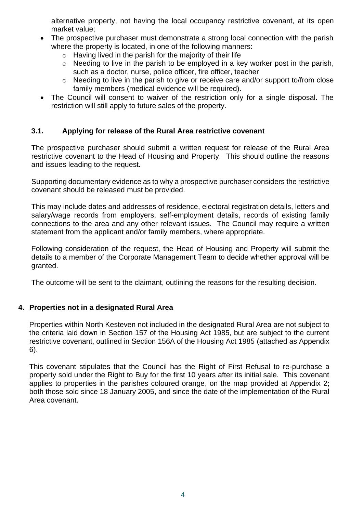alternative property, not having the local occupancy restrictive covenant, at its open market value;

- The prospective purchaser must demonstrate a strong local connection with the parish where the property is located, in one of the following manners:
	- $\circ$  Having lived in the parish for the majority of their life
	- $\circ$  Needing to live in the parish to be employed in a key worker post in the parish, such as a doctor, nurse, police officer, fire officer, teacher
	- $\circ$  Needing to live in the parish to give or receive care and/or support to/from close family members (medical evidence will be required).
- The Council will consent to waiver of the restriction only for a single disposal. The restriction will still apply to future sales of the property.

# **3.1. Applying for release of the Rural Area restrictive covenant**

The prospective purchaser should submit a written request for release of the Rural Area restrictive covenant to the Head of Housing and Property. This should outline the reasons and issues leading to the request.

Supporting documentary evidence as to why a prospective purchaser considers the restrictive covenant should be released must be provided.

This may include dates and addresses of residence, electoral registration details, letters and salary/wage records from employers, self-employment details, records of existing family connections to the area and any other relevant issues. The Council may require a written statement from the applicant and/or family members, where appropriate.

Following consideration of the request, the Head of Housing and Property will submit the details to a member of the Corporate Management Team to decide whether approval will be granted.

The outcome will be sent to the claimant, outlining the reasons for the resulting decision.

# **4. Properties not in a designated Rural Area**

Properties within North Kesteven not included in the designated Rural Area are not subject to the criteria laid down in Section 157 of the Housing Act 1985, but are subject to the current restrictive covenant, outlined in Section 156A of the Housing Act 1985 (attached as Appendix 6).

This covenant stipulates that the Council has the Right of First Refusal to re-purchase a property sold under the Right to Buy for the first 10 years after its initial sale. This covenant applies to properties in the parishes coloured orange, on the map provided at Appendix 2; both those sold since 18 January 2005, and since the date of the implementation of the Rural Area covenant.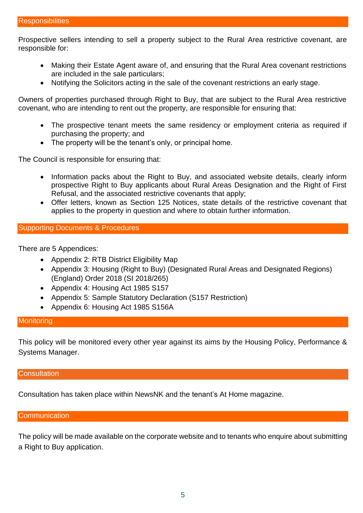Prospective sellers intending to sell a property subject to the Rural Area restrictive covenant, are responsible for:

- Making their Estate Agent aware of, and ensuring that the Rural Area covenant restrictions are included in the sale particulars;
- Notifying the Solicitors acting in the sale of the covenant restrictions an early stage.

Owners of properties purchased through Right to Buy, that are subject to the Rural Area restrictive covenant, who are intending to rent out the property, are responsible for ensuring that:

- The prospective tenant meets the same residency or employment criteria as required if purchasing the property; and
- The property will be the tenant's only, or principal home.

The Council is responsible for ensuring that:

- Information packs about the Right to Buy, and associated website details, clearly inform prospective Right to Buy applicants about Rural Areas Designation and the Right of First Refusal, and the associated restrictive covenants that apply;
- Offer letters, known as Section 125 Notices, state details of the restrictive covenant that applies to the property in question and where to obtain further information.

#### Supporting Documents & Procedures

There are 5 Appendices:

- Appendix 2: RTB District Eligibility Map
- Appendix 3: Housing (Right to Buy) (Designated Rural Areas and Designated Regions) (England) Order 2018 (SI 2018/265)
- Appendix 4: Housing Act 1985 S157
- Appendix 5: Sample Statutory Declaration (S157 Restriction)
- Appendix 6: Housing Act 1985 S156A

#### **Monitoring**

This policy will be monitored every other year against its aims by the Housing Policy, Performance & Systems Manager.

#### **Consultation**

Consultation has taken place within NewsNK and the tenant's At Home magazine.

#### **Communication**

The policy will be made available on the corporate website and to tenants who enquire about submitting a Right to Buy application.